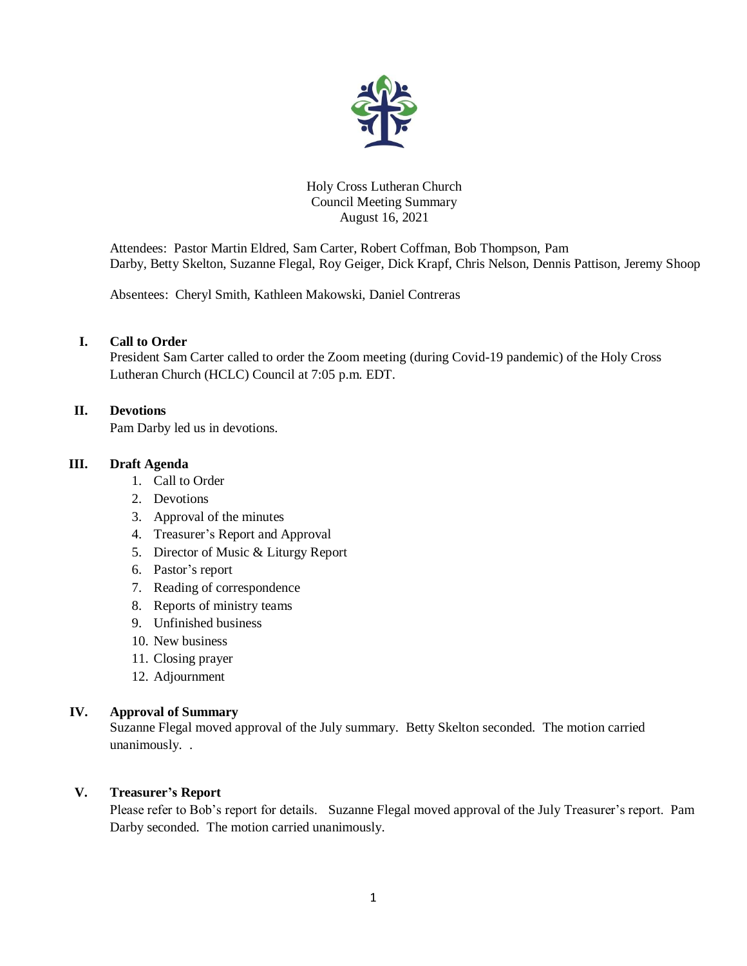

## Holy Cross Lutheran Church Council Meeting Summary August 16, 2021

Attendees: Pastor Martin Eldred, Sam Carter, Robert Coffman, Bob Thompson, Pam Darby, Betty Skelton, Suzanne Flegal, Roy Geiger, Dick Krapf, Chris Nelson, Dennis Pattison, Jeremy Shoop

Absentees: Cheryl Smith, Kathleen Makowski, Daniel Contreras

# **I. Call to Order**

President Sam Carter called to order the Zoom meeting (during Covid-19 pandemic) of the Holy Cross Lutheran Church (HCLC) Council at 7:05 p.m. EDT.

## **II. Devotions**

Pam Darby led us in devotions.

# **III. Draft Agenda**

- 1. Call to Order
- 2. Devotions
- 3. Approval of the minutes
- 4. Treasurer's Report and Approval
- 5. Director of Music & Liturgy Report
- 6. Pastor's report
- 7. Reading of correspondence
- 8. Reports of ministry teams
- 9. Unfinished business
- 10. New business
- 11. Closing prayer
- 12. Adjournment

## **IV. Approval of Summary**

Suzanne Flegal moved approval of the July summary. Betty Skelton seconded. The motion carried unanimously. .

# **V. Treasurer's Report**

Please refer to Bob's report for details. Suzanne Flegal moved approval of the July Treasurer's report. Pam Darby seconded. The motion carried unanimously.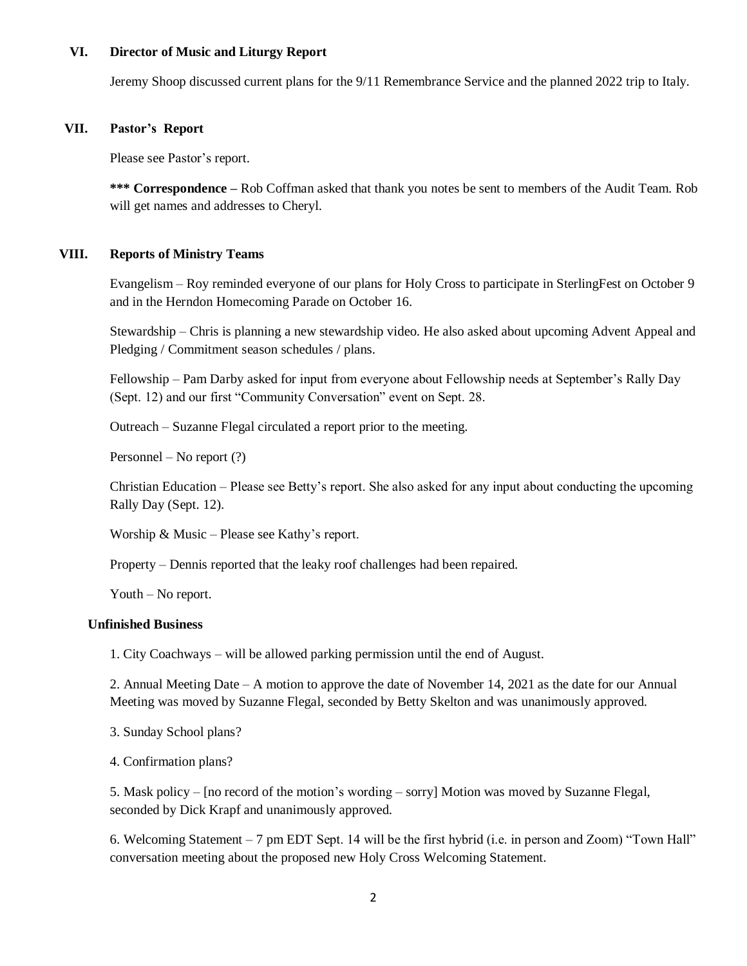#### **VI. Director of Music and Liturgy Report**

Jeremy Shoop discussed current plans for the 9/11 Remembrance Service and the planned 2022 trip to Italy.

#### **VII. Pastor's Report**

Please see Pastor's report.

**\*\*\* Correspondence –** Rob Coffman asked that thank you notes be sent to members of the Audit Team. Rob will get names and addresses to Cheryl.

## **VIII. Reports of Ministry Teams**

Evangelism – Roy reminded everyone of our plans for Holy Cross to participate in SterlingFest on October 9 and in the Herndon Homecoming Parade on October 16.

Stewardship – Chris is planning a new stewardship video. He also asked about upcoming Advent Appeal and Pledging / Commitment season schedules / plans.

Fellowship – Pam Darby asked for input from everyone about Fellowship needs at September's Rally Day (Sept. 12) and our first "Community Conversation" event on Sept. 28.

Outreach – Suzanne Flegal circulated a report prior to the meeting.

Personnel – No report (?)

Christian Education – Please see Betty's report. She also asked for any input about conducting the upcoming Rally Day (Sept. 12).

Worship & Music – Please see Kathy's report.

Property – Dennis reported that the leaky roof challenges had been repaired.

Youth – No report.

#### **Unfinished Business**

1. City Coachways – will be allowed parking permission until the end of August.

2. Annual Meeting Date – A motion to approve the date of November 14, 2021 as the date for our Annual Meeting was moved by Suzanne Flegal, seconded by Betty Skelton and was unanimously approved.

3. Sunday School plans?

4. Confirmation plans?

5. Mask policy – [no record of the motion's wording – sorry] Motion was moved by Suzanne Flegal, seconded by Dick Krapf and unanimously approved.

6. Welcoming Statement – 7 pm EDT Sept. 14 will be the first hybrid (i.e. in person and Zoom) "Town Hall" conversation meeting about the proposed new Holy Cross Welcoming Statement.